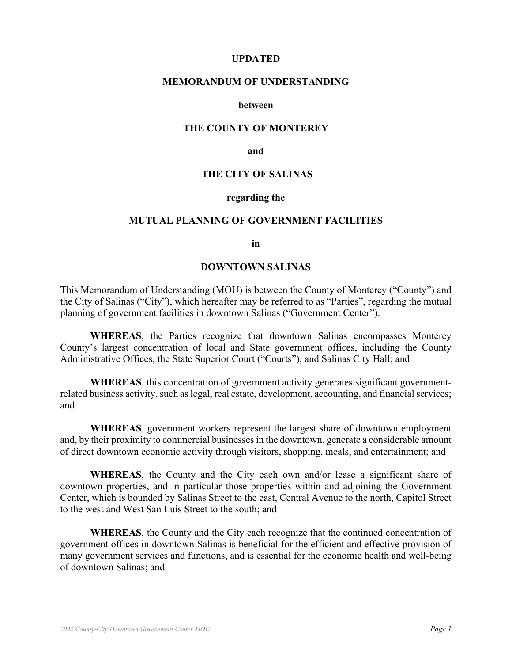#### **UPDATED**

#### **MEMORANDUM OF UNDERSTANDING**

#### **between**

#### **THE COUNTY OF MONTEREY**

**and** 

#### **THE CITY OF SALINAS**

#### **regarding the**

#### **MUTUAL PLANNING OF GOVERNMENT FACILITIES**

**in** 

#### **DOWNTOWN SALINAS**

This Memorandum of Understanding (MOU) is between the County of Monterey ("County") and the City of Salinas ("City"), which hereafter may be referred to as "Parties", regarding the mutual planning of government facilities in downtown Salinas ("Government Center").

 **WHEREAS**, the Parties recognize that downtown Salinas encompasses Monterey County's largest concentration of local and State government offices, including the County Administrative Offices, the State Superior Court ("Courts"), and Salinas City Hall; and

 **WHEREAS**, this concentration of government activity generates significant governmentrelated business activity, such as legal, real estate, development, accounting, and financial services; and

 **WHEREAS**, government workers represent the largest share of downtown employment and, by their proximity to commercial businesses in the downtown, generate a considerable amount of direct downtown economic activity through visitors, shopping, meals, and entertainment; and

 **WHEREAS**, the County and the City each own and/or lease a significant share of downtown properties, and in particular those properties within and adjoining the Government Center, which is bounded by Salinas Street to the east, Central Avenue to the north, Capitol Street to the west and West San Luis Street to the south; and

 **WHEREAS**, the County and the City each recognize that the continued concentration of government offices in downtown Salinas is beneficial for the efficient and effective provision of many government services and functions, and is essential for the economic health and well-being of downtown Salinas; and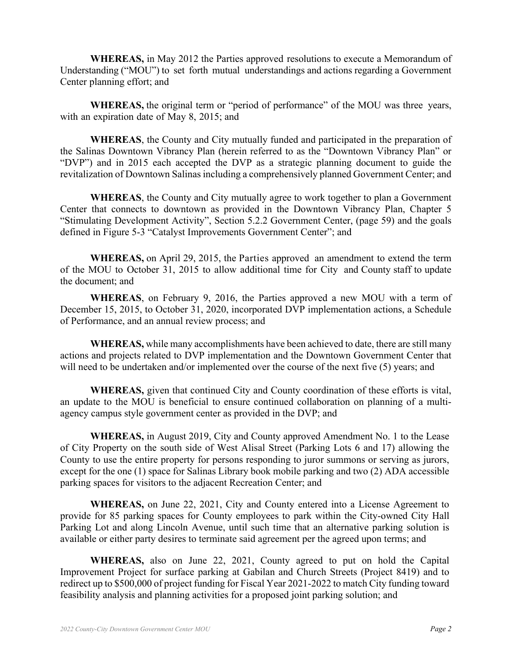**WHEREAS,** in May 2012 the Parties approved resolutions to execute a Memorandum of Understanding ("MOU") to set forth mutual understandings and actions regarding a Government Center planning effort; and

 **WHEREAS,** the original term or "period of performance" of the MOU was three years, with an expiration date of May 8, 2015; and

 **WHEREAS**, the County and City mutually funded and participated in the preparation of the Salinas Downtown Vibrancy Plan (herein referred to as the "Downtown Vibrancy Plan" or "DVP") and in 2015 each accepted the DVP as a strategic planning document to guide the revitalization of Downtown Salinas including a comprehensively planned Government Center; and

 **WHEREAS**, the County and City mutually agree to work together to plan a Government Center that connects to downtown as provided in the Downtown Vibrancy Plan, Chapter 5 "Stimulating Development Activity", Section 5.2.2 Government Center, (page 59) and the goals defined in Figure 5-3 "Catalyst Improvements Government Center"; and

 **WHEREAS,** on April 29, 2015, the Parties approved an amendment to extend the term of the MOU to October 31, 2015 to allow additional time for City and County staff to update the document; and

 **WHEREAS**, on February 9, 2016, the Parties approved a new MOU with a term of December 15, 2015, to October 31, 2020, incorporated DVP implementation actions, a Schedule of Performance, and an annual review process; and

 **WHEREAS,** while many accomplishments have been achieved to date, there are still many actions and projects related to DVP implementation and the Downtown Government Center that will need to be undertaken and/or implemented over the course of the next five (5) years; and

 **WHEREAS,** given that continued City and County coordination of these efforts is vital, an update to the MOU is beneficial to ensure continued collaboration on planning of a multiagency campus style government center as provided in the DVP; and

 **WHEREAS,** in August 2019, City and County approved Amendment No. 1 to the Lease of City Property on the south side of West Alisal Street (Parking Lots 6 and 17) allowing the County to use the entire property for persons responding to juror summons or serving as jurors, except for the one (1) space for Salinas Library book mobile parking and two (2) ADA accessible parking spaces for visitors to the adjacent Recreation Center; and

 **WHEREAS,** on June 22, 2021, City and County entered into a License Agreement to provide for 85 parking spaces for County employees to park within the City-owned City Hall Parking Lot and along Lincoln Avenue, until such time that an alternative parking solution is available or either party desires to terminate said agreement per the agreed upon terms; and

 **WHEREAS,** also on June 22, 2021, County agreed to put on hold the Capital Improvement Project for surface parking at Gabilan and Church Streets (Project 8419) and to redirect up to \$500,000 of project funding for Fiscal Year 2021-2022 to match City funding toward feasibility analysis and planning activities for a proposed joint parking solution; and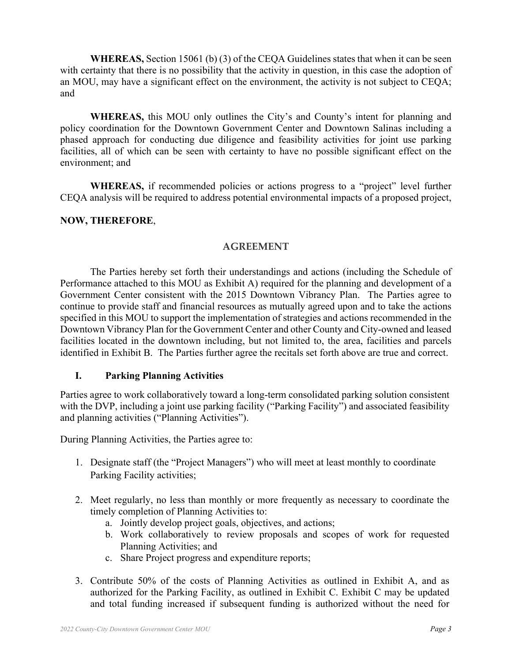**WHEREAS,** Section 15061 (b) (3) of the CEQA Guidelines states that when it can be seen with certainty that there is no possibility that the activity in question, in this case the adoption of an MOU, may have a significant effect on the environment, the activity is not subject to CEQA; and

**WHEREAS,** this MOU only outlines the City's and County's intent for planning and policy coordination for the Downtown Government Center and Downtown Salinas including a phased approach for conducting due diligence and feasibility activities for joint use parking facilities, all of which can be seen with certainty to have no possible significant effect on the environment; and

**WHEREAS,** if recommended policies or actions progress to a "project" level further CEQA analysis will be required to address potential environmental impacts of a proposed project,

## **NOW, THEREFORE**,

### **AGREEMENT**

The Parties hereby set forth their understandings and actions (including the Schedule of Performance attached to this MOU as Exhibit A) required for the planning and development of a Government Center consistent with the 2015 Downtown Vibrancy Plan. The Parties agree to continue to provide staff and financial resources as mutually agreed upon and to take the actions specified in this MOU to support the implementation of strategies and actions recommended in the Downtown Vibrancy Plan for the Government Center and other County and City-owned and leased facilities located in the downtown including, but not limited to, the area, facilities and parcels identified in Exhibit B. The Parties further agree the recitals set forth above are true and correct.

#### **I. Parking Planning Activities**

Parties agree to work collaboratively toward a long-term consolidated parking solution consistent with the DVP, including a joint use parking facility ("Parking Facility") and associated feasibility and planning activities ("Planning Activities").

During Planning Activities, the Parties agree to:

- 1. Designate staff (the "Project Managers") who will meet at least monthly to coordinate Parking Facility activities;
- 2. Meet regularly, no less than monthly or more frequently as necessary to coordinate the timely completion of Planning Activities to:
	- a. Jointly develop project goals, objectives, and actions;
	- b. Work collaboratively to review proposals and scopes of work for requested Planning Activities; and
	- c. Share Project progress and expenditure reports;
- 3. Contribute 50% of the costs of Planning Activities as outlined in Exhibit A, and as authorized for the Parking Facility, as outlined in Exhibit C. Exhibit C may be updated and total funding increased if subsequent funding is authorized without the need for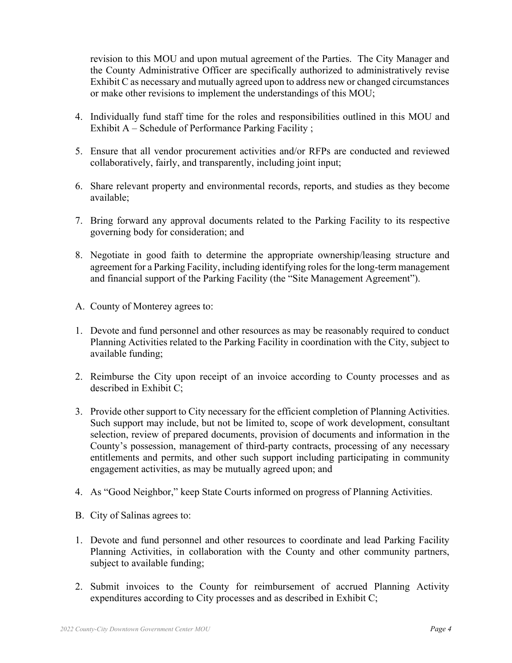revision to this MOU and upon mutual agreement of the Parties. The City Manager and the County Administrative Officer are specifically authorized to administratively revise Exhibit C as necessary and mutually agreed upon to address new or changed circumstances or make other revisions to implement the understandings of this MOU;

- 4. Individually fund staff time for the roles and responsibilities outlined in this MOU and Exhibit A – Schedule of Performance Parking Facility ;
- 5. Ensure that all vendor procurement activities and/or RFPs are conducted and reviewed collaboratively, fairly, and transparently, including joint input;
- 6. Share relevant property and environmental records, reports, and studies as they become available;
- 7. Bring forward any approval documents related to the Parking Facility to its respective governing body for consideration; and
- 8. Negotiate in good faith to determine the appropriate ownership/leasing structure and agreement for a Parking Facility, including identifying roles for the long-term management and financial support of the Parking Facility (the "Site Management Agreement").
- A. County of Monterey agrees to:
- 1. Devote and fund personnel and other resources as may be reasonably required to conduct Planning Activities related to the Parking Facility in coordination with the City, subject to available funding;
- 2. Reimburse the City upon receipt of an invoice according to County processes and as described in Exhibit C;
- 3. Provide other support to City necessary for the efficient completion of Planning Activities. Such support may include, but not be limited to, scope of work development, consultant selection, review of prepared documents, provision of documents and information in the County's possession, management of third-party contracts, processing of any necessary entitlements and permits, and other such support including participating in community engagement activities, as may be mutually agreed upon; and
- 4. As "Good Neighbor," keep State Courts informed on progress of Planning Activities.
- B. City of Salinas agrees to:
- 1. Devote and fund personnel and other resources to coordinate and lead Parking Facility Planning Activities, in collaboration with the County and other community partners, subject to available funding;
- 2. Submit invoices to the County for reimbursement of accrued Planning Activity expenditures according to City processes and as described in Exhibit C;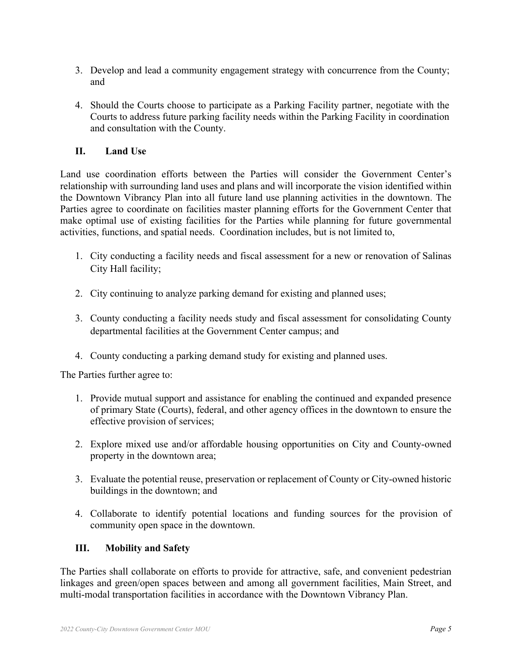- 3. Develop and lead a community engagement strategy with concurrence from the County; and
- 4. Should the Courts choose to participate as a Parking Facility partner, negotiate with the Courts to address future parking facility needs within the Parking Facility in coordination and consultation with the County.

## **II. Land Use**

Land use coordination efforts between the Parties will consider the Government Center's relationship with surrounding land uses and plans and will incorporate the vision identified within the Downtown Vibrancy Plan into all future land use planning activities in the downtown. The Parties agree to coordinate on facilities master planning efforts for the Government Center that make optimal use of existing facilities for the Parties while planning for future governmental activities, functions, and spatial needs. Coordination includes, but is not limited to,

- 1. City conducting a facility needs and fiscal assessment for a new or renovation of Salinas City Hall facility;
- 2. City continuing to analyze parking demand for existing and planned uses;
- 3. County conducting a facility needs study and fiscal assessment for consolidating County departmental facilities at the Government Center campus; and
- 4. County conducting a parking demand study for existing and planned uses.

The Parties further agree to:

- 1. Provide mutual support and assistance for enabling the continued and expanded presence of primary State (Courts), federal, and other agency offices in the downtown to ensure the effective provision of services;
- 2. Explore mixed use and/or affordable housing opportunities on City and County-owned property in the downtown area;
- 3. Evaluate the potential reuse, preservation or replacement of County or City-owned historic buildings in the downtown; and
- 4. Collaborate to identify potential locations and funding sources for the provision of community open space in the downtown.

## **III. Mobility and Safety**

The Parties shall collaborate on efforts to provide for attractive, safe, and convenient pedestrian linkages and green/open spaces between and among all government facilities, Main Street, and multi-modal transportation facilities in accordance with the Downtown Vibrancy Plan.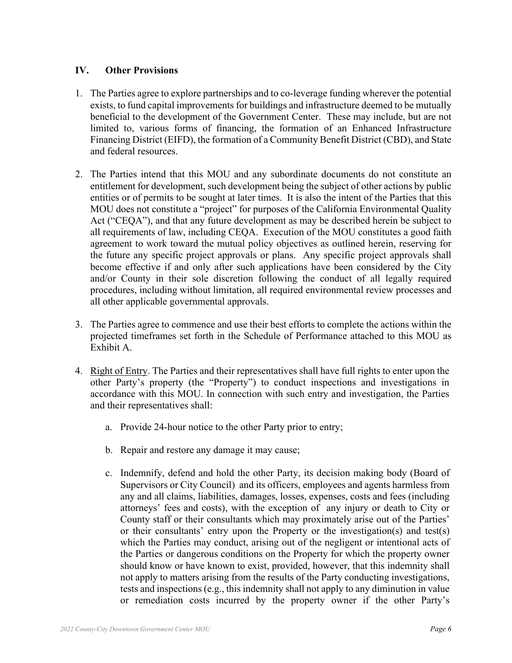### **IV. Other Provisions**

- 1. The Parties agree to explore partnerships and to co-leverage funding wherever the potential exists, to fund capital improvements for buildings and infrastructure deemed to be mutually beneficial to the development of the Government Center. These may include, but are not limited to, various forms of financing, the formation of an Enhanced Infrastructure Financing District (EIFD), the formation of a Community Benefit District (CBD), and State and federal resources.
- 2. The Parties intend that this MOU and any subordinate documents do not constitute an entitlement for development, such development being the subject of other actions by public entities or of permits to be sought at later times. It is also the intent of the Parties that this MOU does not constitute a "project" for purposes of the California Environmental Quality Act ("CEQA"), and that any future development as may be described herein be subject to all requirements of law, including CEQA. Execution of the MOU constitutes a good faith agreement to work toward the mutual policy objectives as outlined herein, reserving for the future any specific project approvals or plans. Any specific project approvals shall become effective if and only after such applications have been considered by the City and/or County in their sole discretion following the conduct of all legally required procedures, including without limitation, all required environmental review processes and all other applicable governmental approvals.
- 3. The Parties agree to commence and use their best efforts to complete the actions within the projected timeframes set forth in the Schedule of Performance attached to this MOU as Exhibit A.
- 4. Right of Entry. The Parties and their representatives shall have full rights to enter upon the other Party's property (the "Property") to conduct inspections and investigations in accordance with this MOU. In connection with such entry and investigation, the Parties and their representatives shall:
	- a. Provide 24-hour notice to the other Party prior to entry;
	- b. Repair and restore any damage it may cause;
	- c. Indemnify, defend and hold the other Party, its decision making body (Board of Supervisors or City Council) and its officers, employees and agents harmless from any and all claims, liabilities, damages, losses, expenses, costs and fees (including attorneys' fees and costs), with the exception of any injury or death to City or County staff or their consultants which may proximately arise out of the Parties' or their consultants' entry upon the Property or the investigation(s) and test(s) which the Parties may conduct, arising out of the negligent or intentional acts of the Parties or dangerous conditions on the Property for which the property owner should know or have known to exist, provided, however, that this indemnity shall not apply to matters arising from the results of the Party conducting investigations, tests and inspections (e.g., this indemnity shall not apply to any diminution in value or remediation costs incurred by the property owner if the other Party's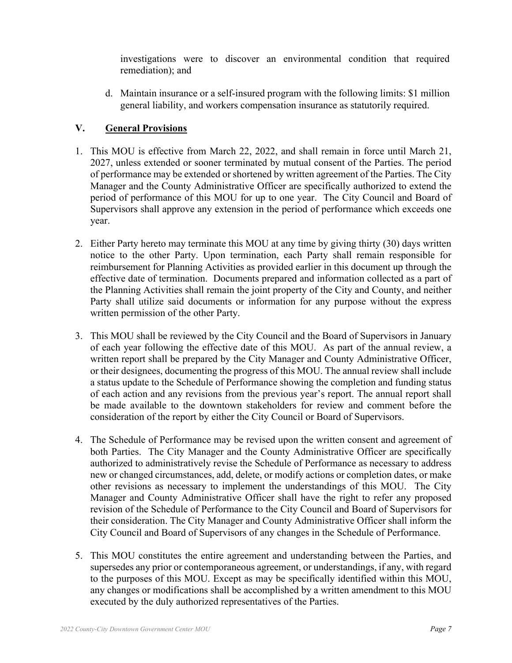investigations were to discover an environmental condition that required remediation); and

d. Maintain insurance or a self-insured program with the following limits: \$1 million general liability, and workers compensation insurance as statutorily required.

## **V. General Provisions**

- 1. This MOU is effective from March 22, 2022, and shall remain in force until March 21, 2027, unless extended or sooner terminated by mutual consent of the Parties. The period of performance may be extended or shortened by written agreement of the Parties. The City Manager and the County Administrative Officer are specifically authorized to extend the period of performance of this MOU for up to one year. The City Council and Board of Supervisors shall approve any extension in the period of performance which exceeds one year.
- 2. Either Party hereto may terminate this MOU at any time by giving thirty (30) days written notice to the other Party. Upon termination, each Party shall remain responsible for reimbursement for Planning Activities as provided earlier in this document up through the effective date of termination. Documents prepared and information collected as a part of the Planning Activities shall remain the joint property of the City and County, and neither Party shall utilize said documents or information for any purpose without the express written permission of the other Party.
- 3. This MOU shall be reviewed by the City Council and the Board of Supervisors in January of each year following the effective date of this MOU. As part of the annual review, a written report shall be prepared by the City Manager and County Administrative Officer, or their designees, documenting the progress of this MOU. The annual review shall include a status update to the Schedule of Performance showing the completion and funding status of each action and any revisions from the previous year's report. The annual report shall be made available to the downtown stakeholders for review and comment before the consideration of the report by either the City Council or Board of Supervisors.
- 4. The Schedule of Performance may be revised upon the written consent and agreement of both Parties. The City Manager and the County Administrative Officer are specifically authorized to administratively revise the Schedule of Performance as necessary to address new or changed circumstances, add, delete, or modify actions or completion dates, or make other revisions as necessary to implement the understandings of this MOU. The City Manager and County Administrative Officer shall have the right to refer any proposed revision of the Schedule of Performance to the City Council and Board of Supervisors for their consideration. The City Manager and County Administrative Officer shall inform the City Council and Board of Supervisors of any changes in the Schedule of Performance.
- 5. This MOU constitutes the entire agreement and understanding between the Parties, and supersedes any prior or contemporaneous agreement, or understandings, if any, with regard to the purposes of this MOU. Except as may be specifically identified within this MOU, any changes or modifications shall be accomplished by a written amendment to this MOU executed by the duly authorized representatives of the Parties.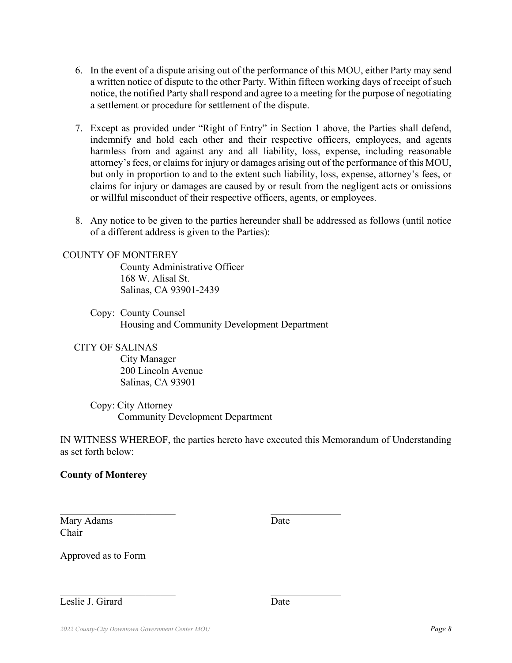- 6. In the event of a dispute arising out of the performance of this MOU, either Party may send a written notice of dispute to the other Party. Within fifteen working days of receipt of such notice, the notified Party shall respond and agree to a meeting for the purpose of negotiating a settlement or procedure for settlement of the dispute.
- 7. Except as provided under "Right of Entry" in Section 1 above, the Parties shall defend, indemnify and hold each other and their respective officers, employees, and agents harmless from and against any and all liability, loss, expense, including reasonable attorney's fees, or claims for injury or damages arising out of the performance of this MOU, but only in proportion to and to the extent such liability, loss, expense, attorney's fees, or claims for injury or damages are caused by or result from the negligent acts or omissions or willful misconduct of their respective officers, agents, or employees.
- 8. Any notice to be given to the parties hereunder shall be addressed as follows (until notice of a different address is given to the Parties):

#### COUNTY OF MONTEREY

 County Administrative Officer 168 W. Alisal St. Salinas, CA 93901-2439

Copy: County Counsel Housing and Community Development Department

#### CITY OF SALINAS

City Manager 200 Lincoln Avenue Salinas, CA 93901

Copy: City Attorney Community Development Department

 $\mathcal{L}_\text{max}$  , and the contract of the contract of the contract of the contract of the contract of the contract of the contract of the contract of the contract of the contract of the contract of the contract of the contr

IN WITNESS WHEREOF, the parties hereto have executed this Memorandum of Understanding as set forth below:

#### **County of Monterey**

Mary Adams Date **Date** Chair

Approved as to Form

#### Leslie J. Girard Date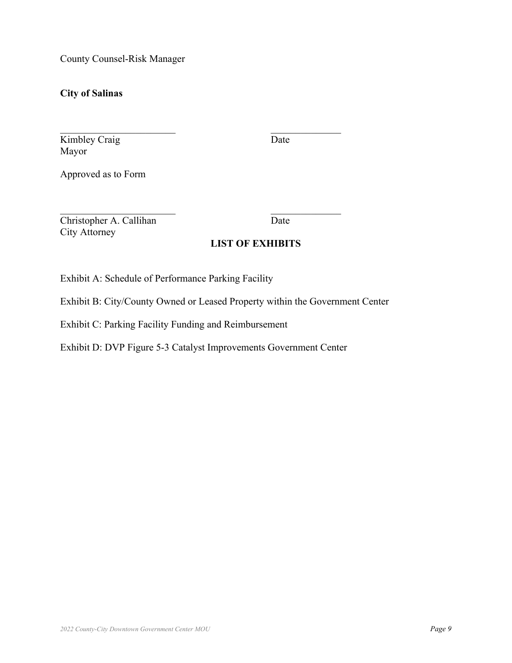County Counsel-Risk Manager

**City of Salinas** 

Kimbley Craig Date Mayor

Approved as to Form

Christopher A. Callihan Date City Attorney

### **LIST OF EXHIBITS**

Exhibit A: Schedule of Performance Parking Facility

Exhibit B: City/County Owned or Leased Property within the Government Center

Exhibit C: Parking Facility Funding and Reimbursement

Exhibit D: DVP Figure 5-3 Catalyst Improvements Government Center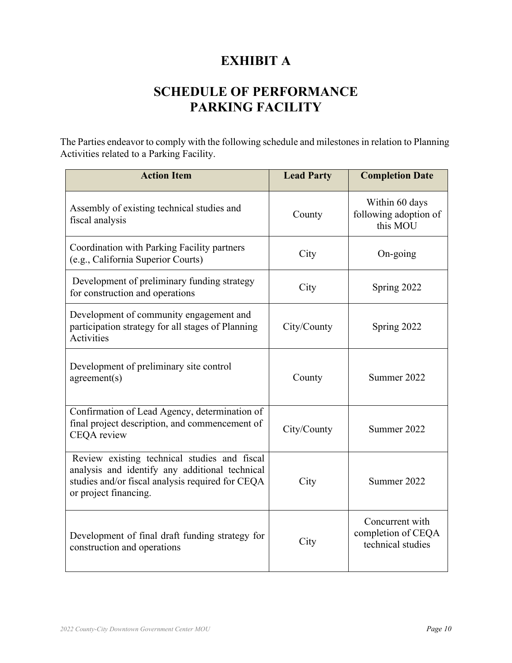# **EXHIBIT A**

# **SCHEDULE OF PERFORMANCE PARKING FACILITY**

The Parties endeavor to comply with the following schedule and milestones in relation to Planning Activities related to a Parking Facility.

| <b>Action Item</b>                                                                                                                                                          | <b>Lead Party</b>                                                  | <b>Completion Date</b>                              |
|-----------------------------------------------------------------------------------------------------------------------------------------------------------------------------|--------------------------------------------------------------------|-----------------------------------------------------|
| Assembly of existing technical studies and<br>fiscal analysis                                                                                                               | County                                                             | Within 60 days<br>following adoption of<br>this MOU |
| Coordination with Parking Facility partners<br>(e.g., California Superior Courts)                                                                                           | City                                                               | On-going                                            |
| Development of preliminary funding strategy<br>for construction and operations                                                                                              | City                                                               | Spring 2022                                         |
| Development of community engagement and<br>participation strategy for all stages of Planning<br><b>Activities</b>                                                           | City/County                                                        | Spring 2022                                         |
| Development of preliminary site control<br>agreement(s)                                                                                                                     | County                                                             | Summer 2022                                         |
| Confirmation of Lead Agency, determination of<br>final project description, and commencement of<br>CEQA review                                                              | City/County<br>Summer 2022                                         |                                                     |
| Review existing technical studies and fiscal<br>analysis and identify any additional technical<br>studies and/or fiscal analysis required for CEQA<br>or project financing. | City                                                               | Summer 2022                                         |
| Development of final draft funding strategy for<br>construction and operations                                                                                              | Concurrent with<br>completion of CEQA<br>City<br>technical studies |                                                     |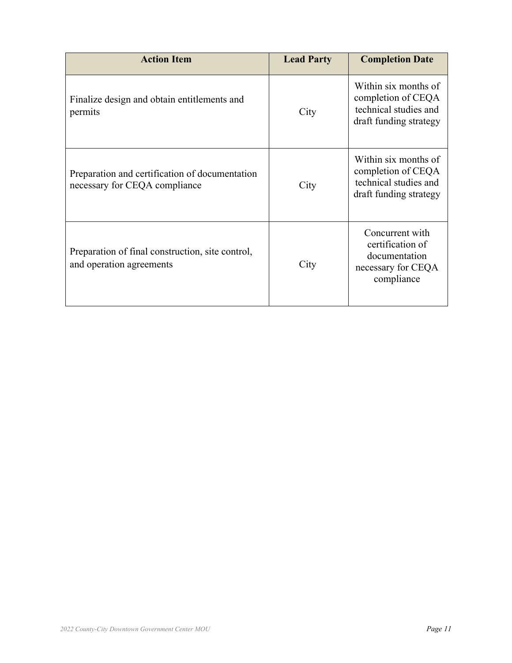| <b>Action Item</b>                                                              | <b>Lead Party</b> | <b>Completion Date</b>                                                                        |
|---------------------------------------------------------------------------------|-------------------|-----------------------------------------------------------------------------------------------|
| Finalize design and obtain entitlements and<br>permits                          | City              | Within six months of<br>completion of CEQA<br>technical studies and<br>draft funding strategy |
| Preparation and certification of documentation<br>necessary for CEQA compliance | City              | Within six months of<br>completion of CEQA<br>technical studies and<br>draft funding strategy |
| Preparation of final construction, site control,<br>and operation agreements    | City              | Concurrent with<br>certification of<br>documentation<br>necessary for CEQA<br>compliance      |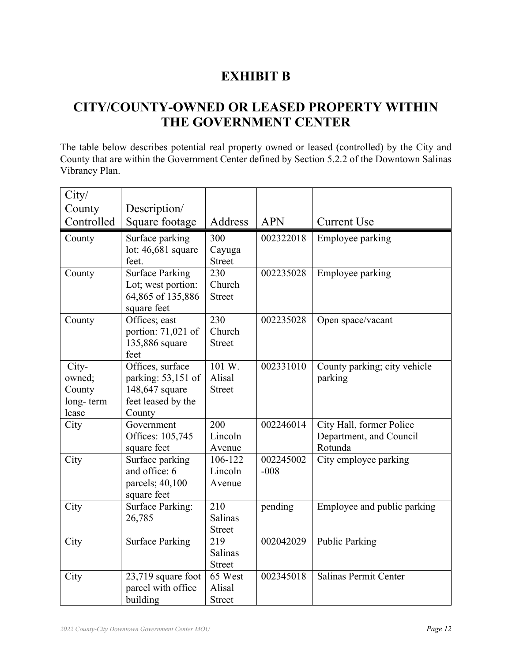## **EXHIBIT B**

## **CITY/COUNTY-OWNED OR LEASED PROPERTY WITHIN THE GOVERNMENT CENTER**

The table below describes potential real property owned or leased (controlled) by the City and County that are within the Government Center defined by Section 5.2.2 of the Downtown Salinas Vibrancy Plan.

| City/      |                                |                   |            |                                    |
|------------|--------------------------------|-------------------|------------|------------------------------------|
| County     | Description/                   |                   |            |                                    |
| Controlled | Square footage                 | Address           | <b>APN</b> | <b>Current Use</b>                 |
| County     | Surface parking                | 300               | 002322018  | Employee parking                   |
|            | lot: $46,681$ square           | Cayuga            |            |                                    |
|            | feet.                          | <b>Street</b>     |            |                                    |
| County     | <b>Surface Parking</b>         | 230               | 002235028  | Employee parking                   |
|            | Lot; west portion:             | Church            |            |                                    |
|            | 64,865 of 135,886              | <b>Street</b>     |            |                                    |
|            | square feet                    |                   |            |                                    |
| County     | Offices; east                  | 230               | 002235028  | Open space/vacant                  |
|            | portion: 71,021 of             | Church            |            |                                    |
|            | 135,886 square                 | <b>Street</b>     |            |                                    |
|            | feet                           |                   |            |                                    |
| City-      | Offices, surface               | 101 W.            | 002331010  | County parking; city vehicle       |
| owned;     | parking: 53,151 of             | Alisal            |            | parking                            |
| County     | 148,647 square                 | <b>Street</b>     |            |                                    |
| long-term  | feet leased by the             |                   |            |                                    |
| lease      | County                         | 200               | 002246014  |                                    |
| City       | Government<br>Offices: 105,745 | Lincoln           |            | City Hall, former Police           |
|            |                                |                   |            | Department, and Council<br>Rotunda |
| City       | square feet<br>Surface parking | Avenue<br>106-122 | 002245002  | City employee parking              |
|            | and office: 6                  | Lincoln           | $-008$     |                                    |
|            | parcels; 40,100                | Avenue            |            |                                    |
|            | square feet                    |                   |            |                                    |
| City       | <b>Surface Parking:</b>        | 210               | pending    | Employee and public parking        |
|            | 26,785                         | <b>Salinas</b>    |            |                                    |
|            |                                | <b>Street</b>     |            |                                    |
| City       | <b>Surface Parking</b>         | 219               | 002042029  | <b>Public Parking</b>              |
|            |                                | <b>Salinas</b>    |            |                                    |
|            |                                | <b>Street</b>     |            |                                    |
| City       | 23,719 square foot             | 65 West           | 002345018  | Salinas Permit Center              |
|            | parcel with office             | Alisal            |            |                                    |
|            | building                       | <b>Street</b>     |            |                                    |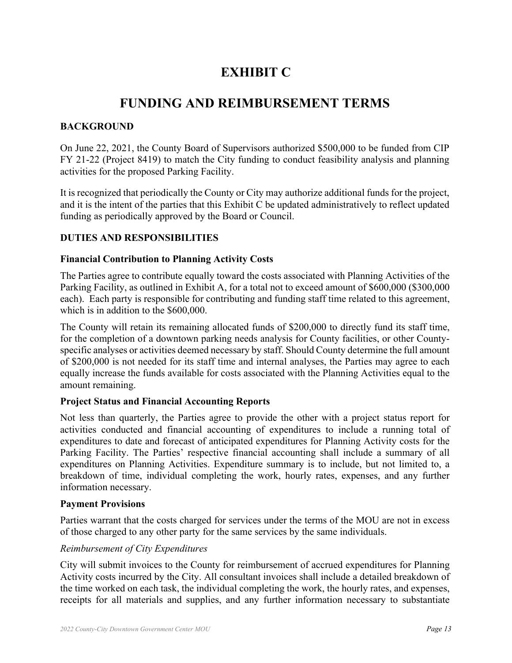# **EXHIBIT C**

## **FUNDING AND REIMBURSEMENT TERMS**

## **BACKGROUND**

On June 22, 2021, the County Board of Supervisors authorized \$500,000 to be funded from CIP FY 21-22 (Project 8419) to match the City funding to conduct feasibility analysis and planning activities for the proposed Parking Facility.

It is recognized that periodically the County or City may authorize additional funds for the project, and it is the intent of the parties that this Exhibit C be updated administratively to reflect updated funding as periodically approved by the Board or Council.

## **DUTIES AND RESPONSIBILITIES**

### **Financial Contribution to Planning Activity Costs**

The Parties agree to contribute equally toward the costs associated with Planning Activities of the Parking Facility, as outlined in Exhibit A, for a total not to exceed amount of \$600,000 (\$300,000 each). Each party is responsible for contributing and funding staff time related to this agreement, which is in addition to the \$600,000.

The County will retain its remaining allocated funds of \$200,000 to directly fund its staff time, for the completion of a downtown parking needs analysis for County facilities, or other Countyspecific analyses or activities deemed necessary by staff. Should County determine the full amount of \$200,000 is not needed for its staff time and internal analyses, the Parties may agree to each equally increase the funds available for costs associated with the Planning Activities equal to the amount remaining.

## **Project Status and Financial Accounting Reports**

Not less than quarterly, the Parties agree to provide the other with a project status report for activities conducted and financial accounting of expenditures to include a running total of expenditures to date and forecast of anticipated expenditures for Planning Activity costs for the Parking Facility. The Parties' respective financial accounting shall include a summary of all expenditures on Planning Activities. Expenditure summary is to include, but not limited to, a breakdown of time, individual completing the work, hourly rates, expenses, and any further information necessary.

## **Payment Provisions**

Parties warrant that the costs charged for services under the terms of the MOU are not in excess of those charged to any other party for the same services by the same individuals.

## *Reimbursement of City Expenditures*

City will submit invoices to the County for reimbursement of accrued expenditures for Planning Activity costs incurred by the City. All consultant invoices shall include a detailed breakdown of the time worked on each task, the individual completing the work, the hourly rates, and expenses, receipts for all materials and supplies, and any further information necessary to substantiate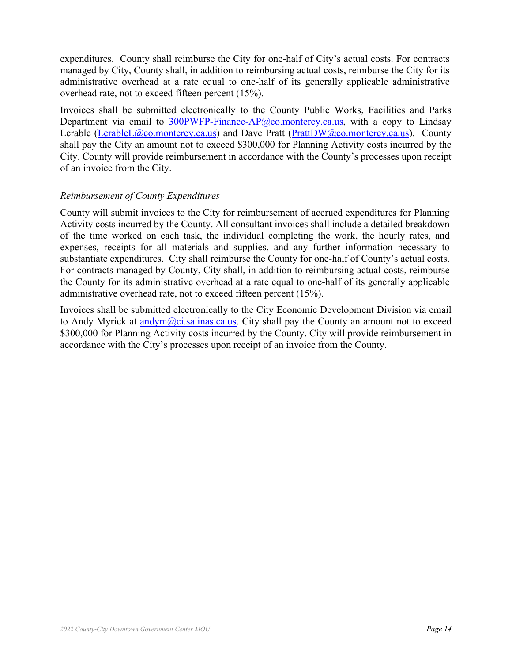expenditures. County shall reimburse the City for one-half of City's actual costs. For contracts managed by City, County shall, in addition to reimbursing actual costs, reimburse the City for its administrative overhead at a rate equal to one-half of its generally applicable administrative overhead rate, not to exceed fifteen percent (15%).

Invoices shall be submitted electronically to the County Public Works, Facilities and Parks Department via email to  $300$ PWFP-Finance-AP $@$ co.monterey.ca.us, with a copy to Lindsay Lerable (LerableL@co.monterey.ca.us) and Dave Pratt (PrattDW@co.monterey.ca.us). County shall pay the City an amount not to exceed \$300,000 for Planning Activity costs incurred by the City. County will provide reimbursement in accordance with the County's processes upon receipt of an invoice from the City.

### *Reimbursement of County Expenditures*

County will submit invoices to the City for reimbursement of accrued expenditures for Planning Activity costs incurred by the County. All consultant invoices shall include a detailed breakdown of the time worked on each task, the individual completing the work, the hourly rates, and expenses, receipts for all materials and supplies, and any further information necessary to substantiate expenditures. City shall reimburse the County for one-half of County's actual costs. For contracts managed by County, City shall, in addition to reimbursing actual costs, reimburse the County for its administrative overhead at a rate equal to one-half of its generally applicable administrative overhead rate, not to exceed fifteen percent (15%).

Invoices shall be submitted electronically to the City Economic Development Division via email to Andy Myrick at andym@ci.salinas.ca.us. City shall pay the County an amount not to exceed \$300,000 for Planning Activity costs incurred by the County. City will provide reimbursement in accordance with the City's processes upon receipt of an invoice from the County.